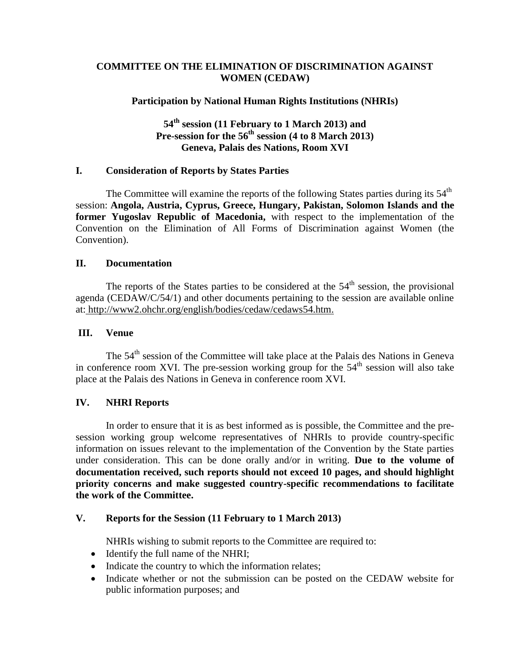# **COMMITTEE ON THE ELIMINATION OF DISCRIMINATION AGAINST WOMEN (CEDAW)**

## **Participation by National Human Rights Institutions (NHRIs)**

# **54 th session (11 February to 1 March 2013) and Pre-session for the 56 th session (4 to 8 March 2013) Geneva, Palais des Nations, Room XVI**

# **I. Consideration of Reports by States Parties**

The Committee will examine the reports of the following States parties during its  $54<sup>th</sup>$ session: **Angola, Austria, Cyprus, Greece, Hungary, Pakistan, Solomon Islands and the former Yugoslav Republic of Macedonia,** with respect to the implementation of the Convention on the Elimination of All Forms of Discrimination against Women (the Convention).

### **II. Documentation**

The reports of the States parties to be considered at the  $54<sup>th</sup>$  session, the provisional agenda (CEDAW/C/54/1) and other documents pertaining to the session are available online at: http://www2.ohchr.org/english/bodies/cedaw/cedaws54.htm.

# **III. Venue**

The 54<sup>th</sup> session of the Committee will take place at the Palais des Nations in Geneva in conference room XVI. The pre-session working group for the  $54<sup>th</sup>$  session will also take place at the Palais des Nations in Geneva in conference room XVI.

# **IV. NHRI Reports**

In order to ensure that it is as best informed as is possible, the Committee and the presession working group welcome representatives of NHRIs to provide country-specific information on issues relevant to the implementation of the Convention by the State parties under consideration. This can be done orally and/or in writing. **Due to the volume of documentation received, such reports should not exceed 10 pages, and should highlight priority concerns and make suggested country-specific recommendations to facilitate the work of the Committee.**

### **V. Reports for the Session (11 February to 1 March 2013)**

NHRIs wishing to submit reports to the Committee are required to:

- Identify the full name of the NHRI;
- Indicate the country to which the information relates;
- Indicate whether or not the submission can be posted on the CEDAW website for public information purposes; and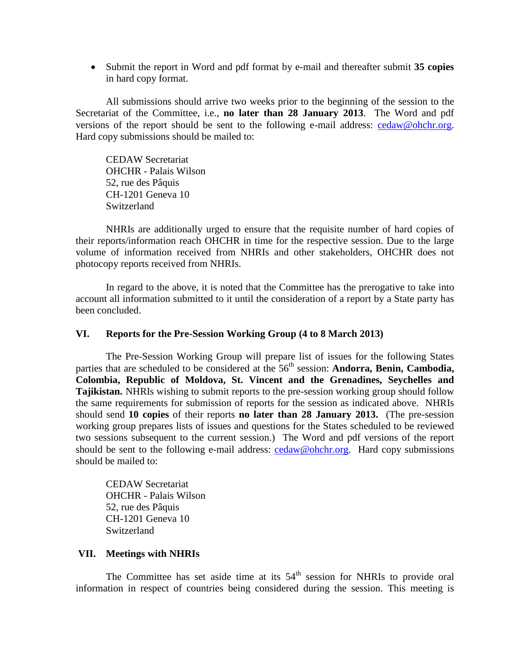Submit the report in Word and pdf format by e-mail and thereafter submit **35 copies** in hard copy format.

All submissions should arrive two weeks prior to the beginning of the session to the Secretariat of the Committee, i.e., **no later than 28 January 2013**. The Word and pdf versions of the report should be sent to the following e-mail address: [cedaw@ohchr.org.](mailto:cedaw@ohchr.org) Hard copy submissions should be mailed to:

CEDAW Secretariat OHCHR - Palais Wilson 52, rue des Pâquis CH-1201 Geneva 10 Switzerland

NHRIs are additionally urged to ensure that the requisite number of hard copies of their reports/information reach OHCHR in time for the respective session. Due to the large volume of information received from NHRIs and other stakeholders, OHCHR does not photocopy reports received from NHRIs.

In regard to the above, it is noted that the Committee has the prerogative to take into account all information submitted to it until the consideration of a report by a State party has been concluded.

#### **VI. Reports for the Pre-Session Working Group (4 to 8 March 2013)**

The Pre-Session Working Group will prepare list of issues for the following States parties that are scheduled to be considered at the 56<sup>th</sup> session: **Andorra, Benin, Cambodia, Colombia, Republic of Moldova, St. Vincent and the Grenadines, Seychelles and Tajikistan.** NHRIs wishing to submit reports to the pre-session working group should follow the same requirements for submission of reports for the session as indicated above. NHRIs should send **10 copies** of their reports **no later than 28 January 2013.** (The pre-session working group prepares lists of issues and questions for the States scheduled to be reviewed two sessions subsequent to the current session.) The Word and pdf versions of the report should be sent to the following e-mail address:  $\text{cedaw@ohchr.org}$ . Hard copy submissions should be mailed to:

CEDAW Secretariat OHCHR - Palais Wilson 52, rue des Pâquis CH-1201 Geneva 10 Switzerland

### **VII. Meetings with NHRIs**

The Committee has set aside time at its  $54<sup>th</sup>$  session for NHRIs to provide oral information in respect of countries being considered during the session. This meeting is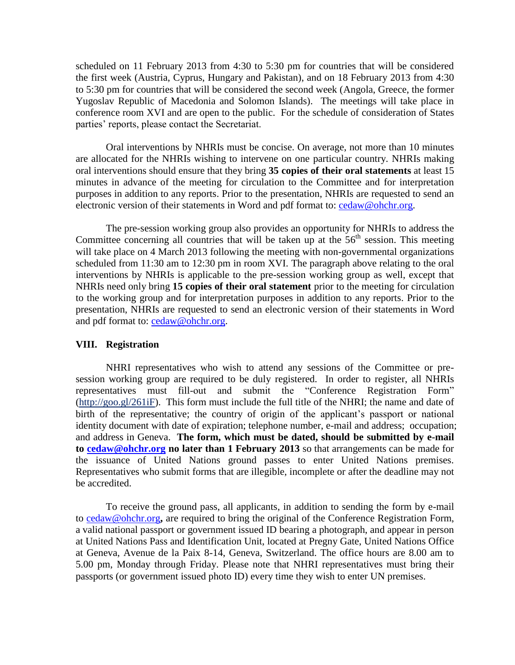scheduled on 11 February 2013 from 4:30 to 5:30 pm for countries that will be considered the first week (Austria, Cyprus, Hungary and Pakistan), and on 18 February 2013 from 4:30 to 5:30 pm for countries that will be considered the second week (Angola, Greece, the former Yugoslav Republic of Macedonia and Solomon Islands). The meetings will take place in conference room XVI and are open to the public. For the schedule of consideration of States parties' reports, please contact the Secretariat.

Oral interventions by NHRIs must be concise. On average, not more than 10 minutes are allocated for the NHRIs wishing to intervene on one particular country. NHRIs making oral interventions should ensure that they bring **35 copies of their oral statements** at least 15 minutes in advance of the meeting for circulation to the Committee and for interpretation purposes in addition to any reports. Prior to the presentation, NHRIs are requested to send an electronic version of their statements in Word and pdf format to: [cedaw@ohchr.org.](mailto:cedaw@ohchr.org)

The pre-session working group also provides an opportunity for NHRIs to address the Committee concerning all countries that will be taken up at the  $56<sup>th</sup>$  session. This meeting will take place on 4 March 2013 following the meeting with non-governmental organizations scheduled from 11:30 am to 12:30 pm in room XVI. The paragraph above relating to the oral interventions by NHRIs is applicable to the pre-session working group as well, except that NHRIs need only bring **15 copies of their oral statement** prior to the meeting for circulation to the working group and for interpretation purposes in addition to any reports. Prior to the presentation, NHRIs are requested to send an electronic version of their statements in Word and pdf format to: [cedaw@ohchr.org.](mailto:cedaw@ohchr.org)

## **VIII. Registration**

NHRI representatives who wish to attend any sessions of the Committee or presession working group are required to be duly registered. In order to register, all NHRIs representatives must fill-out and submit the "Conference Registration Form" [\(http://goo.gl/2](http://goo.gl/)61iF). This form must include the full title of the NHRI; the name and date of birth of the representative; the country of origin of the applicant's passport or national identity document with date of expiration; telephone number, e-mail and address; occupation; and address in Geneva. **The form, which must be dated, should be submitted by e-mail to [cedaw@ohchr.org](mailto:cedaw@ohchr.org) no later than 1 February 2013** so that arrangements can be made for the issuance of United Nations ground passes to enter United Nations premises. Representatives who submit forms that are illegible, incomplete or after the deadline may not be accredited.

To receive the ground pass, all applicants, in addition to sending the form by e-mail to [cedaw@ohchr.org](mailto:cedaw@ohchr.org)**,** are required to bring the original of the Conference Registration Form, a valid national passport or government issued ID bearing a photograph, and appear in person at United Nations Pass and Identification Unit, located at Pregny Gate, United Nations Office at Geneva, Avenue de la Paix 8-14, Geneva, Switzerland. The office hours are 8.00 am to 5.00 pm, Monday through Friday. Please note that NHRI representatives must bring their passports (or government issued photo ID) every time they wish to enter UN premises.